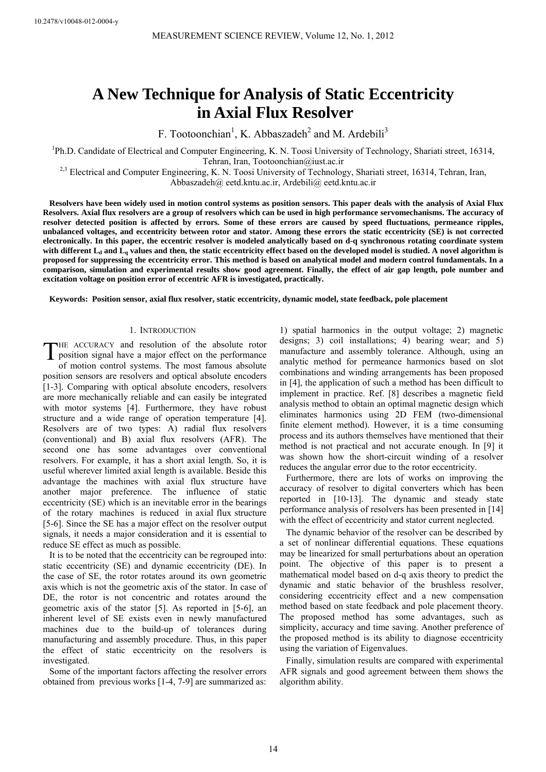# **A New Technique for Analysis of Static Eccentricity in Axial Flux Resolver**

F. Tootoonchian<sup>1</sup>, K. Abbaszadeh<sup>2</sup> and M. Ardebili<sup>3</sup>

<sup>1</sup>Ph.D. Candidate of Electrical and Computer Engineering, K. N. Toosi University of Technology, Shariati street, 16314, Tehran, Iran, Tootoonchian@iust.ac.ir

<sup>2,3</sup> Electrical and Computer Engineering, K. N. Toosi University of Technology, Shariati street, 16314, Tehran, Iran, Abbaszadeh@ eetd.kntu.ac.ir, Ardebili@ eetd.kntu.ac.ir

**Resolvers have been widely used in motion control systems as position sensors. This paper deals with the analysis of Axial Flux Resolvers. Axial flux resolvers are a group of resolvers which can be used in high performance servomechanisms. The accuracy of resolver detected position is affected by errors. Some of these errors are caused by speed fluctuations, permeance ripples, unbalanced voltages, and eccentricity between rotor and stator. Among these errors the static eccentricity (SE) is not corrected electronically. In this paper, the eccentric resolver is modeled analytically based on d-q synchronous rotating coordinate system**  with different L<sub>d</sub> and L<sub>q</sub> values and then, the static eccentricity effect based on the developed model is studied. A novel algorithm is **proposed for suppressing the eccentricity error. This method is based on analytical model and modern control fundamentals. In a comparison, simulation and experimental results show good agreement. Finally, the effect of air gap length, pole number and excitation voltage on position error of eccentric AFR is investigated, practically.** 

**Keywords: Position sensor, axial flux resolver, static eccentricity, dynamic model, state feedback, pole placement** 

# 1. INTRODUCTION

HE ACCURACY and resolution of the absolute rotor THE ACCURACY and resolution of the absolute rotor<br>position signal have a major effect on the performance<br>of mation central systems. The most formany chaolitic of motion control systems. The most famous absolute position sensors are resolvers and optical absolute encoders [1-3]. Comparing with optical absolute encoders, resolvers are more mechanically reliable and can easily be integrated with motor systems [4]. Furthermore, they have robust structure and a wide range of operation temperature [4]. Resolvers are of two types: A) radial flux resolvers (conventional) and B) axial flux resolvers (AFR). The second one has some advantages over conventional resolvers. For example, it has a short axial length. So, it is useful wherever limited axial length is available. Beside this advantage the machines with axial flux structure have another major preference. The influence of static eccentricity (SE) which is an inevitable error in the bearings of the rotary machines is reduced in axial flux structure [5-6]. Since the SE has a major effect on the resolver output signals, it needs a major consideration and it is essential to reduce SE effect as much as possible.

It is to be noted that the eccentricity can be regrouped into: static eccentricity (SE) and dynamic eccentricity (DE). In the case of SE, the rotor rotates around its own geometric axis which is not the geometric axis of the stator. In case of DE, the rotor is not concentric and rotates around the geometric axis of the stator [5]. As reported in [5-6], an inherent level of SE exists even in newly manufactured machines due to the build-up of tolerances during manufacturing and assembly procedure. Thus, in this paper the effect of static eccentricity on the resolvers is investigated.

Some of the important factors affecting the resolver errors obtained from previous works [1-4, 7-9] are summarized as:

1) spatial harmonics in the output voltage; 2) magnetic designs; 3) coil installations; 4) bearing wear; and 5) manufacture and assembly tolerance. Although, using an analytic method for permeance harmonics based on slot combinations and winding arrangements has been proposed in [4], the application of such a method has been difficult to implement in practice. Ref. [8] describes a magnetic field analysis method to obtain an optimal magnetic design which eliminates harmonics using 2D FEM (two-dimensional finite element method). However, it is a time consuming process and its authors themselves have mentioned that their method is not practical and not accurate enough. In [9] it was shown how the short-circuit winding of a resolver reduces the angular error due to the rotor eccentricity.

Furthermore, there are lots of works on improving the accuracy of resolver to digital converters which has been reported in [10-13]. The dynamic and steady state performance analysis of resolvers has been presented in [14] with the effect of eccentricity and stator current neglected.

The dynamic behavior of the resolver can be described by a set of nonlinear differential equations. These equations may be linearized for small perturbations about an operation point. The objective of this paper is to present a mathematical model based on d-q axis theory to predict the dynamic and static behavior of the brushless resolver, considering eccentricity effect and a new compensation method based on state feedback and pole placement theory. The proposed method has some advantages, such as simplicity, accuracy and time saving. Another preference of the proposed method is its ability to diagnose eccentricity using the variation of Eigenvalues.

Finally, simulation results are compared with experimental AFR signals and good agreement between them shows the algorithm ability.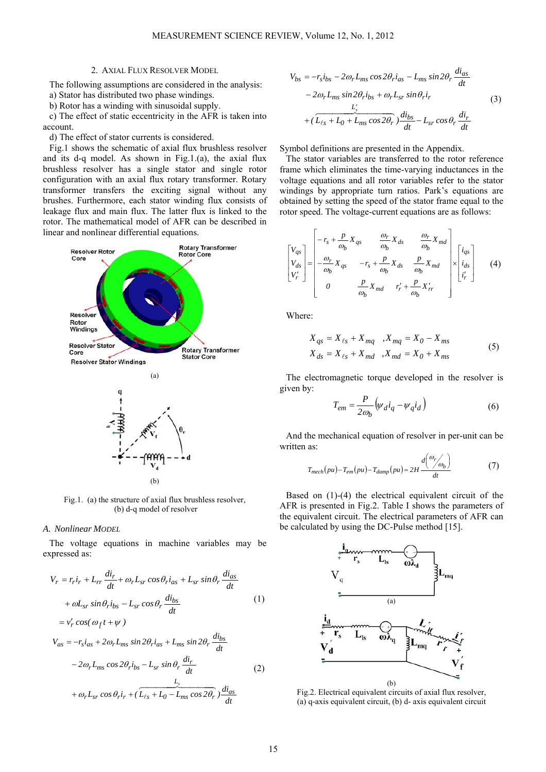# 2. AXIAL FLUX RESOLVER MODEL

The following assumptions are considered in the analysis:

a) Stator has distributed two phase windings.

b) Rotor has a winding with sinusoidal supply.

c) The effect of static eccentricity in the AFR is taken into account.

d) The effect of stator currents is considered.

Fig.1 shows the schematic of axial flux brushless resolver and its d-q model. As shown in Fig.1.(a), the axial flux brushless resolver has a single stator and single rotor configuration with an axial flux rotary transformer. Rotary transformer transfers the exciting signal without any brushes. Furthermore, each stator winding flux consists of leakage flux and main flux. The latter flux is linked to the rotor. The mathematical model of AFR can be described in linear and nonlinear differential equations.



(b)

Fig.1. (a) the structure of axial flux brushless resolver, (b) d-q model of resolver

#### *A. Nonlinear MODEL*

The voltage equations in machine variables may be expressed as:

$$
V_r = r_r i_r + L_{rr} \frac{di_r}{dt} + \omega_r L_{sr} \cos \theta_r i_{as} + L_{sr} \sin \theta_r \frac{di_{as}}{dt}
$$
  
+  $\omega L_{sr} \sin \theta_r i_{bs} - L_{sr} \cos \theta_r \frac{di_{bs}}{dt}$  (1)  
=  $v'_r \cos(\omega_f t + \psi)$   

$$
V_{as} = -r_s i_{as} + 2\omega_r L_{ms} \sin 2\theta_r i_{as} + L_{ms} \sin 2\theta_r \frac{di_{bs}}{dt}
$$

$$
-2\omega_r L_{ms} \cos 2\theta_r i_{bs} - L_{sr} \sin \theta_r \frac{di_r}{dt}
$$
  

$$
+ \omega_r L_{sr} \cos \theta_r i_r + (\overline{L_{\ell s} + L_0 - L_{ms} \cos 2\theta_r}) \frac{di_{as}}{dt}
$$
 (2)

$$
V_{bs} = -r_s i_{bs} - 2\omega_r L_{ms} \cos 2\theta_r i_{as} - L_{ms} \sin 2\theta_r \frac{di_{as}}{dt}
$$
  
- 2\omega\_r L\_{ms} \sin 2\theta\_r i\_{bs} + \omega\_r L\_{sr} \sin \theta\_r i\_r  
+ (\frac{L\_s'}{L\_{\ell s} + L\_0 + L\_{ms} \cos 2\theta\_r}) \frac{di\_{bs}}{dt} - L\_{sr} \cos \theta\_r \frac{di\_r}{dt} (3)

Symbol definitions are presented in the Appendix.

The stator variables are transferred to the rotor reference frame which eliminates the time-varying inductances in the voltage equations and all rotor variables refer to the stator windings by appropriate turn ratios. Park's equations are obtained by setting the speed of the stator frame equal to the rotor speed. The voltage-current equations are as follows:

$$
\begin{bmatrix} V_{qs} \\ V_{ds} \\ V'_{t} \end{bmatrix} = \begin{bmatrix} -r_s + \frac{p}{\omega_b} X_{qs} & \frac{\omega_r}{\omega_b} X_{ds} & \frac{\omega_r}{\omega_b} X_{md} \\ -\frac{\omega_r}{\omega_b} X_{qs} & -r_s + \frac{p}{\omega_b} X_{ds} & \frac{p}{\omega_b} X_{md} \\ 0 & \frac{p}{\omega_b} X_{md} & r'_r + \frac{p}{\omega_b} X'_r \end{bmatrix} \times \begin{bmatrix} i_{qs} \\ i_{ds} \\ i'_r \end{bmatrix}
$$
 (4)

Where:

$$
X_{qs} = X_{\ell s} + X_{mq} , X_{mq} = X_0 - X_{ms}
$$
  
\n
$$
X_{ds} = X_{\ell s} + X_{md} , X_{md} = X_0 + X_{ms}
$$
\n(5)

The electromagnetic torque developed in the resolver is given by:

$$
T_{em} = \frac{P}{2\omega_b} \left( \psi_d i_q - \psi_q i_d \right) \tag{6}
$$

And the mechanical equation of resolver in per-unit can be written as:

$$
T_{mech}(pu) - T_{em}(pu) - T_{damp}(pu) = 2H \frac{d\left(\frac{\omega_r}{\omega_b}\right)}{dt}
$$
 (7)

Based on (1)-(4) the electrical equivalent circuit of the AFR is presented in Fig.2. Table I shows the parameters of the equivalent circuit. The electrical parameters of AFR can be calculated by using the DC-Pulse method [15].



Fig.2. Electrical equivalent circuits of axial flux resolver, (a) q-axis equivalent circuit, (b) d- axis equivalent circuit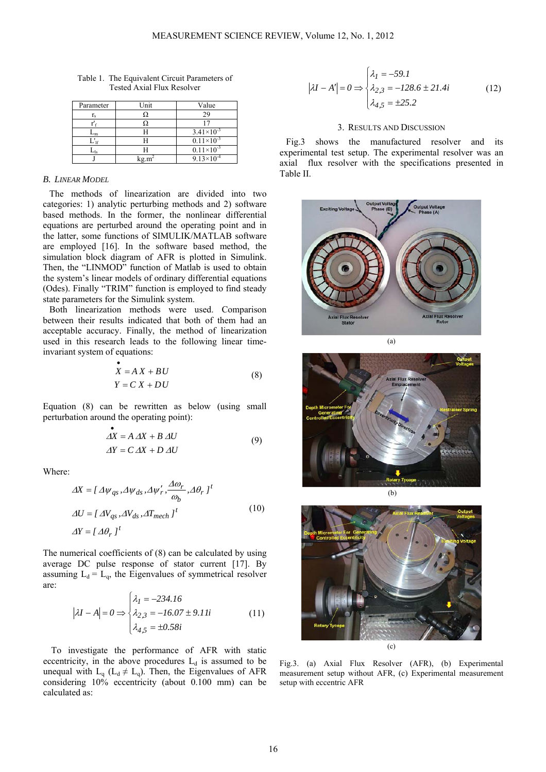| Parameter | Unit | Value                 |
|-----------|------|-----------------------|
|           |      |                       |
|           |      |                       |
| $L_m$     |      | $3.41\times10^{-3}$   |
|           |      | $0.11 \times 10^{-3}$ |
| $-$ ls    |      | $0.11 \times 10^{-3}$ |
|           |      | $9.13 \times 10^{-4}$ |

Table 1. The Equivalent Circuit Parameters of Tested Axial Flux Resolver

## *B. LINEAR MODEL*

The methods of linearization are divided into two categories: 1) analytic perturbing methods and 2) software based methods. In the former, the nonlinear differential equations are perturbed around the operating point and in the latter, some functions of SIMULIK/MATLAB software are employed [16]. In the software based method, the simulation block diagram of AFR is plotted in Simulink. Then, the "LINMOD" function of Matlab is used to obtain the system's linear models of ordinary differential equations (Odes). Finally "TRIM" function is employed to find steady state parameters for the Simulink system.

Both linearization methods were used. Comparison between their results indicated that both of them had an acceptable accuracy. Finally, the method of linearization used in this research leads to the following linear timeinvariant system of equations:

$$
X = AX + BU
$$
  
 
$$
Y = C X + DU
$$
 (8)

Equation (8) can be rewritten as below (using small perturbation around the operating point):

$$
\Delta X = A \Delta X + B \Delta U
$$
  
\n
$$
\Delta Y = C \Delta X + D \Delta U
$$
\n(9)

Where:

$$
\Delta X = [ \Delta \psi_{qs}, \Delta \psi_{ds}, \Delta \psi'_r, \frac{\Delta \omega_r}{\omega_b}, \Delta \theta_r ]^t
$$
  
\n
$$
\Delta U = [ \Delta V_{qs}, \Delta V_{ds}, \Delta T_{mech} ]^t
$$
\n
$$
\Delta Y = [ \Delta \theta_r ]^t
$$
\n(10)

The numerical coefficients of (8) can be calculated by using average DC pulse response of stator current [17]. By assuming  $L_d = L_q$ , the Eigenvalues of symmetrical resolver are:

$$
|\lambda I - A| = 0 \Rightarrow \begin{cases} \lambda_I = -234.16\\ \lambda_{2,3} = -16.07 \pm 9.11i\\ \lambda_{4,5} = \pm 0.58i \end{cases}
$$
(11)

To investigate the performance of AFR with static eccentricity, in the above procedures  $L_d$  is assumed to be unequal with  $L_q$  ( $L_d \neq L_q$ ). Then, the Eigenvalues of AFR considering 10% eccentricity (about 0.100 mm) can be calculated as:

$$
|\lambda I - A'| = 0 \Rightarrow \begin{cases} \lambda_I = -59.1\\ \lambda_{2,3} = -128.6 \pm 21.4i\\ \lambda_{4,5} = \pm 25.2 \end{cases}
$$
(12)

### 3. RESULTS AND DISCUSSION

Fig.3 shows the manufactured resolver and its experimental test setup. The experimental resolver was an axial flux resolver with the specifications presented in Table II.









Fig.3. (a) Axial Flux Resolver (AFR), (b) Experimental measurement setup without AFR, (c) Experimental measurement setup with eccentric AFR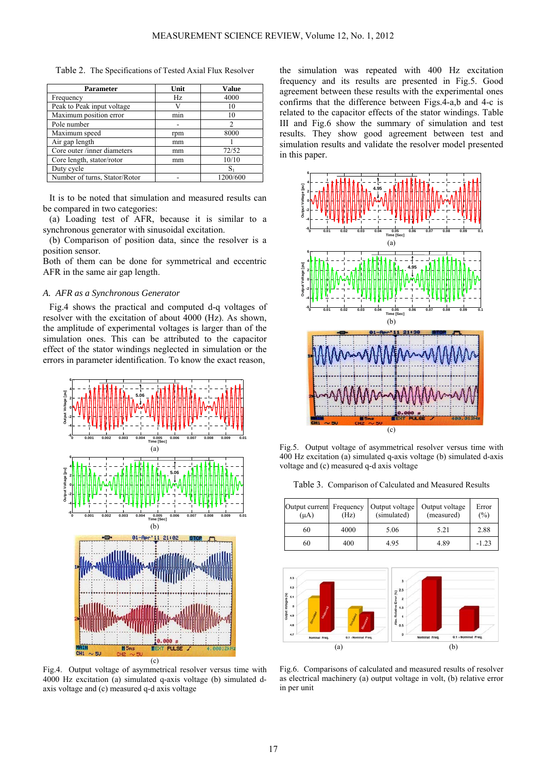|  |  | Table 2. The Specifications of Tested Axial Flux Resolver |  |  |  |  |
|--|--|-----------------------------------------------------------|--|--|--|--|
|--|--|-----------------------------------------------------------|--|--|--|--|

| Parameter                     | Unit | Value    |
|-------------------------------|------|----------|
| Frequency                     | Hz   | 4000     |
| Peak to Peak input voltage    |      | 10       |
| Maximum position error        | mın  | 10       |
| Pole number                   |      | 2        |
| Maximum speed                 | rpm  | 8000     |
| Air gap length                | mm   |          |
| Core outer /inner diameters   | mm   | 72/52    |
| Core length, stator/rotor     | mm   | 10/10    |
| Duty cycle                    |      | S.       |
| Number of turns, Stator/Rotor |      | 1200/600 |

It is to be noted that simulation and measured results can be compared in two categories:

(a) Loading test of AFR, because it is similar to a synchronous generator with sinusoidal excitation.

(b) Comparison of position data, since the resolver is a position sensor.

Both of them can be done for symmetrical and eccentric AFR in the same air gap length.

# *A. AFR as a Synchronous Generator*

Fig.4 shows the practical and computed d-q voltages of resolver with the excitation of about 4000 (Hz). As shown, the amplitude of experimental voltages is larger than of the simulation ones. This can be attributed to the capacitor effect of the stator windings neglected in simulation or the errors in parameter identification. To know the exact reason,



Fig.4. Output voltage of asymmetrical resolver versus time with 4000 Hz excitation (a) simulated q-axis voltage (b) simulated daxis voltage and (c) measured q-d axis voltage

the simulation was repeated with 400 Hz excitation frequency and its results are presented in Fig.5. Good agreement between these results with the experimental ones confirms that the difference between Figs.4-a,b and 4-c is related to the capacitor effects of the stator windings. Table III and Fig.6 show the summary of simulation and test results. They show good agreement between test and simulation results and validate the resolver model presented in this paper.



Fig.5. Output voltage of asymmetrical resolver versus time with 400 Hz excitation (a) simulated q-axis voltage (b) simulated d-axis voltage and (c) measured q-d axis voltage

Table 3. Comparison of Calculated and Measured Results

| Output current Frequency<br>$(\mu A)$ | (Hz) | Output voltage<br>(simulated) | Output voltage<br>(measured) | Error<br>(%) |
|---------------------------------------|------|-------------------------------|------------------------------|--------------|
| 60                                    | 4000 | 5.06                          | 5.21                         | 2.88         |
| 60                                    | 400  | 4.95                          | 4.89                         | $-1.23$      |



Fig.6. Comparisons of calculated and measured results of resolver as electrical machinery (a) output voltage in volt, (b) relative error in per unit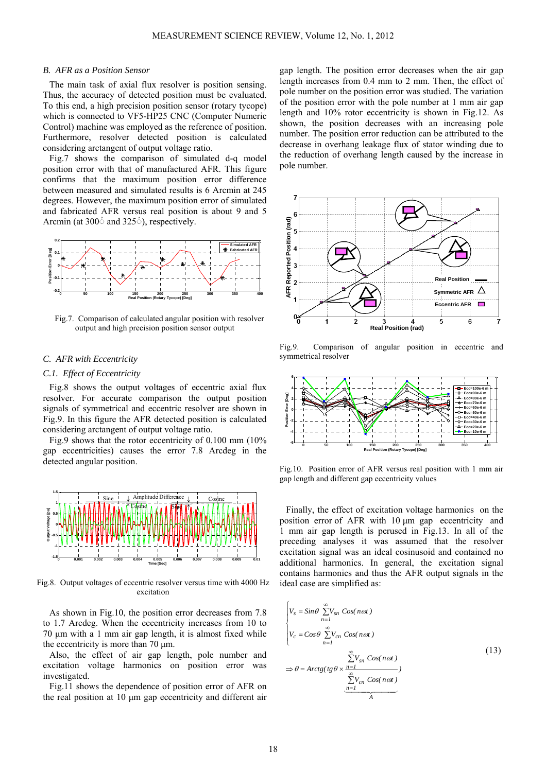#### *B. AFR as a Position Sensor*

The main task of axial flux resolver is position sensing. Thus, the accuracy of detected position must be evaluated. To this end, a high precision position sensor (rotary tycope) which is connected to VF5-HP25 CNC (Computer Numeric Control) machine was employed as the reference of position. Furthermore, resolver detected position is calculated considering arctangent of output voltage ratio.

Fig.7 shows the comparison of simulated d-q model position error with that of manufactured AFR. This figure confirms that the maximum position error difference between measured and simulated results is 6 Arcmin at 245 degrees. However, the maximum position error of simulated and fabricated AFR versus real position is about 9 and 5 Arcmin (at 300<sup>*'*</sup> and 325<sup>*'*</sup>), respectively.



Fig.7. Comparison of calculated angular position with resolver output and high precision position sensor output

## *C. AFR with Eccentricity*

# *C.1. Effect of Eccentricity*

Fig.8 shows the output voltages of eccentric axial flux resolver. For accurate comparison the output position signals of symmetrical and eccentric resolver are shown in Fig.9. In this figure the AFR detected position is calculated considering arctangent of output voltage ratio.

Fig.9 shows that the rotor eccentricity of 0.100 mm (10% gap eccentricities) causes the error 7.8 Arcdeg in the detected angular position.



Fig.8. Output voltages of eccentric resolver versus time with 4000 Hz excitation

As shown in Fig.10, the position error decreases from 7.8 to 1.7 Arcdeg. When the eccentricity increases from 10 to 70 μm with a 1 mm air gap length, it is almost fixed while the eccentricity is more than 70 μm.

Also, the effect of air gap length, pole number and excitation voltage harmonics on position error was investigated.

Fig.11 shows the dependence of position error of AFR on the real position at 10 μm gap eccentricity and different air

gap length. The position error decreases when the air gap length increases from 0.4 mm to 2 mm. Then, the effect of pole number on the position error was studied. The variation of the position error with the pole number at 1 mm air gap length and 10% rotor eccentricity is shown in Fig.12. As shown, the position decreases with an increasing pole number. The position error reduction can be attributed to the decrease in overhang leakage flux of stator winding due to the reduction of overhang length caused by the increase in pole number.



Fig.9. Comparison of angular position in eccentric and symmetrical resolver



Fig.10. Position error of AFR versus real position with 1 mm air gap length and different gap eccentricity values

Finally, the effect of excitation voltage harmonics on the position error of AFR with 10 μm gap eccentricity and 1 mm air gap length is perused in Fig.13. In all of the preceding analyses it was assumed that the resolver excitation signal was an ideal cosinusoid and contained no additional harmonics. In general, the excitation signal contains harmonics and thus the AFR output signals in the ideal case are simplified as:

$$
\begin{cases}\nV_s = \sin\theta \sum_{n=1}^{\infty} V_{sn} \cos(n\omega t) \\
V_c = \cos\theta \sum_{n=1}^{\infty} V_{cn} \cos(n\omega t) \\
&\sum_{n=1}^{\infty} V_{sn} \cos(n\omega t) \\
&\sum_{n=1}^{\infty} V_{sn} \cos(n\omega t) \\
&\sum_{n=1}^{\infty} V_{cn} \cos(n\omega t)\n\end{cases}
$$
\n(13)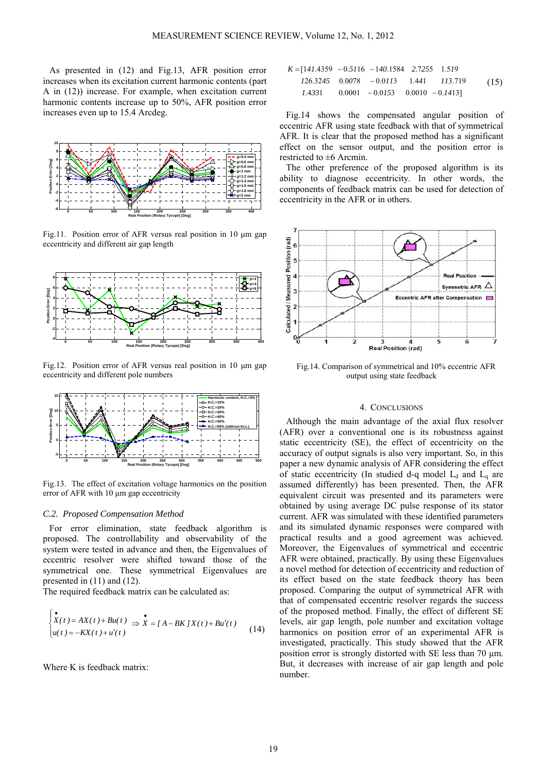As presented in (12) and Fig.13, AFR position error increases when its excitation current harmonic contents (part A in (12)) increase. For example, when excitation current harmonic contents increase up to 50%, AFR position error increases even up to 15.4 Arcdeg.



Fig.11. Position error of AFR versus real position in 10 μm gap eccentricity and different air gap length



Fig.12. Position error of AFR versus real position in 10 μm gap eccentricity and different pole numbers



Fig.13. The effect of excitation voltage harmonics on the position error of AFR with 10 μm gap eccentricity

#### *C.2. Proposed Compensation Method*

For error elimination, state feedback algorithm is proposed. The controllability and observability of the system were tested in advance and then, the Eigenvalues of eccentric resolver were shifted toward those of the symmetrical one. These symmetrical Eigenvalues are presented in (11) and (12).

The required feedback matrix can be calculated as:

$$
\begin{cases}\n\bullet & \text{if } x(t) = AX(t) + Bu(t) \Rightarrow X = [A - BK JX(t) + Bu'(t) \\
u(t) = -KX(t) + u'(t)\n\end{cases} (14)
$$

Where K is feedback matrix:

$$
K = [141.4359 - 0.5116 - 140.1584 \quad 2.7255 \quad 1.519
$$
  
126.3245 \quad 0.0078 \quad -0.0113 \quad 1.441 \quad 113.719 (15)  
1.4331 \quad 0.0001 \quad -0.0153 \quad 0.0010 \quad -0.1413]

Fig.14 shows the compensated angular position of eccentric AFR using state feedback with that of symmetrical AFR. It is clear that the proposed method has a significant effect on the sensor output, and the position error is restricted to  $\pm 6$  Arcmin.

The other preference of the proposed algorithm is its ability to diagnose eccentricity. In other words, the components of feedback matrix can be used for detection of eccentricity in the AFR or in others.



Fig.14. Comparison of symmetrical and 10% eccentric AFR output using state feedback

# 4. CONCLUSIONS

Although the main advantage of the axial flux resolver (AFR) over a conventional one is its robustness against static eccentricity (SE), the effect of eccentricity on the accuracy of output signals is also very important. So, in this paper a new dynamic analysis of AFR considering the effect of static eccentricity (In studied d-q model  $L_d$  and  $L_q$  are assumed differently) has been presented. Then, the AFR equivalent circuit was presented and its parameters were obtained by using average DC pulse response of its stator current. AFR was simulated with these identified parameters and its simulated dynamic responses were compared with practical results and a good agreement was achieved. Moreover, the Eigenvalues of symmetrical and eccentric AFR were obtained, practically. By using these Eigenvalues a novel method for detection of eccentricity and reduction of its effect based on the state feedback theory has been proposed. Comparing the output of symmetrical AFR with that of compensated eccentric resolver regards the success of the proposed method. Finally, the effect of different SE levels, air gap length, pole number and excitation voltage harmonics on position error of an experimental AFR is investigated, practically. This study showed that the AFR position error is strongly distorted with SE less than 70 μm. But, it decreases with increase of air gap length and pole number.